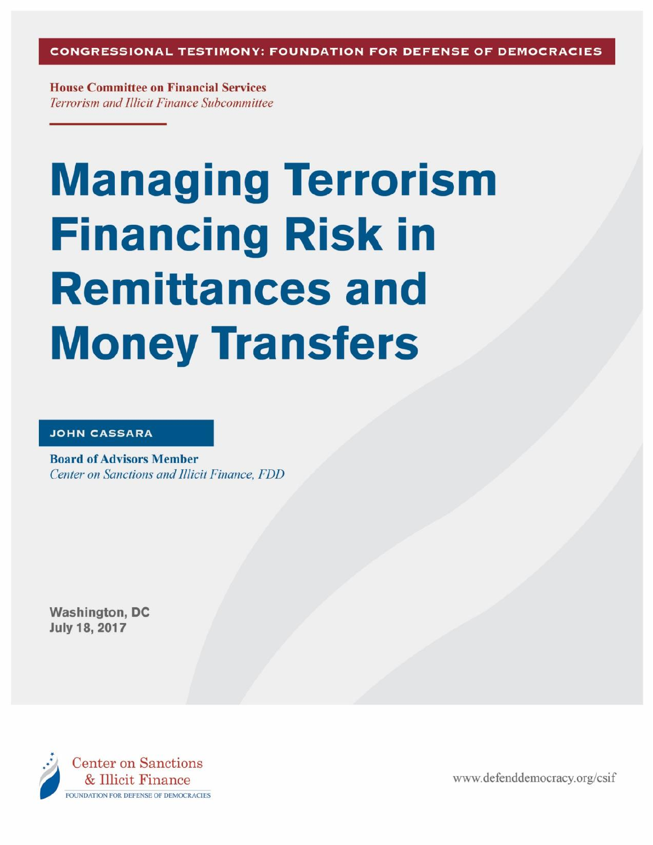CONGRESSIONAL TESTIMONY: FOUNDATION FOR DEFENSE OF DEMOCRACIES

**House Committee on Financial Services** Terrorism and Illicit Finance Subcommittee

# **Managing Terrorism Financing Risk in Remittances and Money Transfers**

#### **JOHN CASSARA**

**Board of Advisors Member Center on Sanctions and Illicit Finance, FDD** 

**Washington, DC** July 18, 2017



www.defenddemocracy.org/csif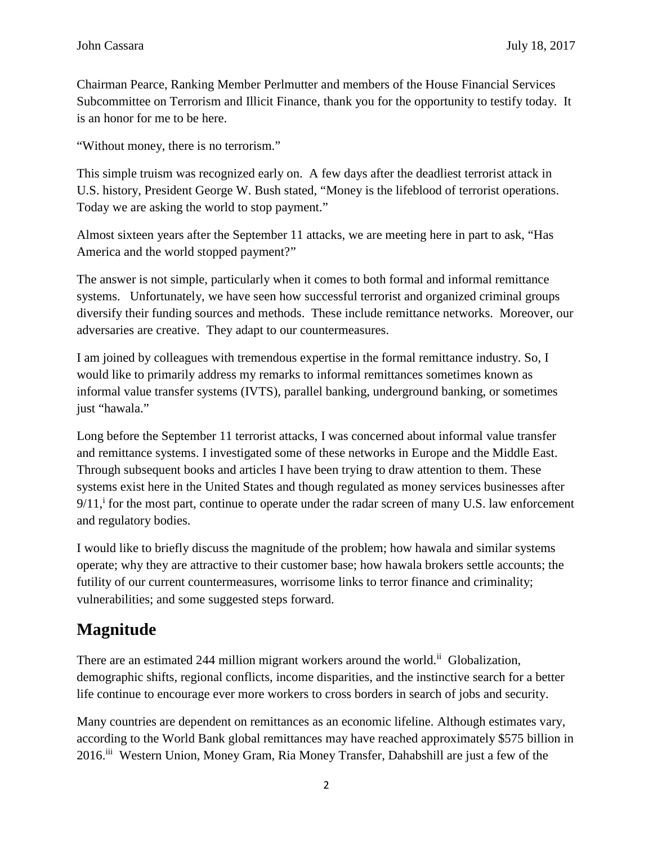Chairman Pearce, Ranking Member Perlmutter and members of the House Financial Services Subcommittee on Terrorism and Illicit Finance, thank you for the opportunity to testify today. It is an honor for me to be here.

"Without money, there is no terrorism."

This simple truism was recognized early on. A few days after the deadliest terrorist attack in U.S. history, President George W. Bush stated, "Money is the lifeblood of terrorist operations. Today we are asking the world to stop payment."

Almost sixteen years after the September 11 attacks, we are meeting here in part to ask, "Has America and the world stopped payment?"

The answer is not simple, particularly when it comes to both formal and informal remittance systems. Unfortunately, we have seen how successful terrorist and organized criminal groups diversify their funding sources and methods. These include remittance networks. Moreover, our adversaries are creative. They adapt to our countermeasures.

I am joined by colleagues with tremendous expertise in the formal remittance industry. So, I would like to primarily address my remarks to informal remittances sometimes known as informal value transfer systems (IVTS), parallel banking, underground banking, or sometimes just "hawala."

Long before the September 11 terrorist attacks, I was concerned about informal value transfer and remittance systems. I investigated some of these networks in Europe and the Middle East. Through subsequent books and articles I have been trying to draw attention to them. These systems exist here in the United States and though regulated as money services businesses after  $9/11$ , for the most part, continue to operate under the radar screen of many U.S. law enforcement and regulatory bodies.

I would like to briefly discuss the magnitude of the problem; how hawala and similar systems operate; why they are attractive to their customer base; how hawala brokers settle accounts; the futility of our current countermeasures, worrisome links to terror finance and criminality; vulnerabilities; and some suggested steps forward.

## **Magnitude**

There are an estimated 244 million migrant workers around the world.<sup>ii</sup> Globalization, demographic shifts, regional conflicts, income disparities, and the instinctive search for a better life continue to encourage ever more workers to cross borders in search of jobs and security.

Many countries are dependent on remittances as an economic lifeline. Although estimates vary, according to the World Bank global remittances may have reached approximately \$575 billion in 2016. iii Western Union, Money Gram, Ria Money Transfer, Dahabshill are just a few of the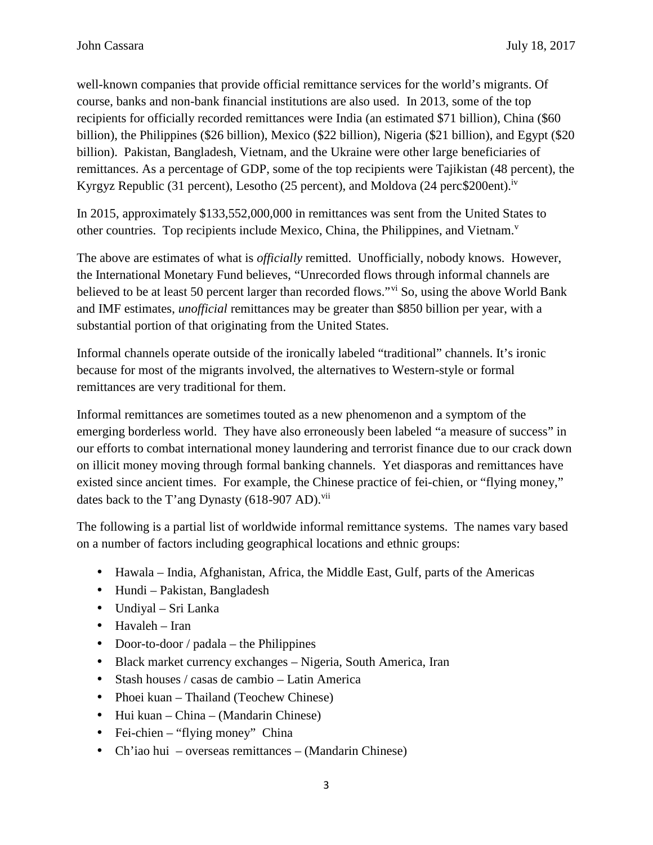well-known companies that provide official remittance services for the world's migrants. Of course, banks and non-bank financial institutions are also used. In 2013, some of the top recipients for officially recorded remittances were India (an estimated \$71 billion), China (\$60 billion), the Philippines (\$26 billion), Mexico (\$22 billion), Nigeria (\$21 billion), and Egypt (\$20 billion). Pakistan, Bangladesh, Vietnam, and the Ukraine were other large beneficiaries of remittances. As a percentage of GDP, some of the top recipients were Tajikistan (48 percent), the Kyrgyz Republic (31 percent), Lesotho (25 percent), and Moldova (24 perc\$200ent).<sup>iv</sup>

In 2015, approximately \$133,552,000,000 in remittances was sent from the United States to other countries. Top recipients include Mexico, China, the Philippines, and Vietnam.<sup>v</sup>

The above are estimates of what is *officially* remitted. Unofficially, nobody knows. However, the International Monetary Fund believes, "Unrecorded flows through informal channels are believed to be at least 50 percent larger than recorded flows."<sup>vi</sup> So, using the above World Bank and IMF estimates, *unofficial* remittances may be greater than \$850 billion per year, with a substantial portion of that originating from the United States.

Informal channels operate outside of the ironically labeled "traditional" channels. It's ironic because for most of the migrants involved, the alternatives to Western-style or formal remittances are very traditional for them.

Informal remittances are sometimes touted as a new phenomenon and a symptom of the emerging borderless world. They have also erroneously been labeled "a measure of success" in our efforts to combat international money laundering and terrorist finance due to our crack down on illicit money moving through formal banking channels. Yet diasporas and remittances have existed since ancient times. For example, the Chinese practice of fei-chien, or "flying money," dates back to the T'ang Dynasty  $(618-907 \text{ AD})$ .<sup>vii</sup>

The following is a partial list of worldwide informal remittance systems. The names vary based on a number of factors including geographical locations and ethnic groups:

- Hawala India, Afghanistan, Africa, the Middle East, Gulf, parts of the Americas
- Hundi Pakistan, Bangladesh
- Undiyal Sri Lanka
- Havaleh Iran
- Door-to-door / padala the Philippines
- Black market currency exchanges Nigeria, South America, Iran
- Stash houses / casas de cambio Latin America
- Phoei kuan Thailand (Teochew Chinese)
- Hui kuan China (Mandarin Chinese)
- Fei-chien "flying money" China
- Ch'iao hui overseas remittances (Mandarin Chinese)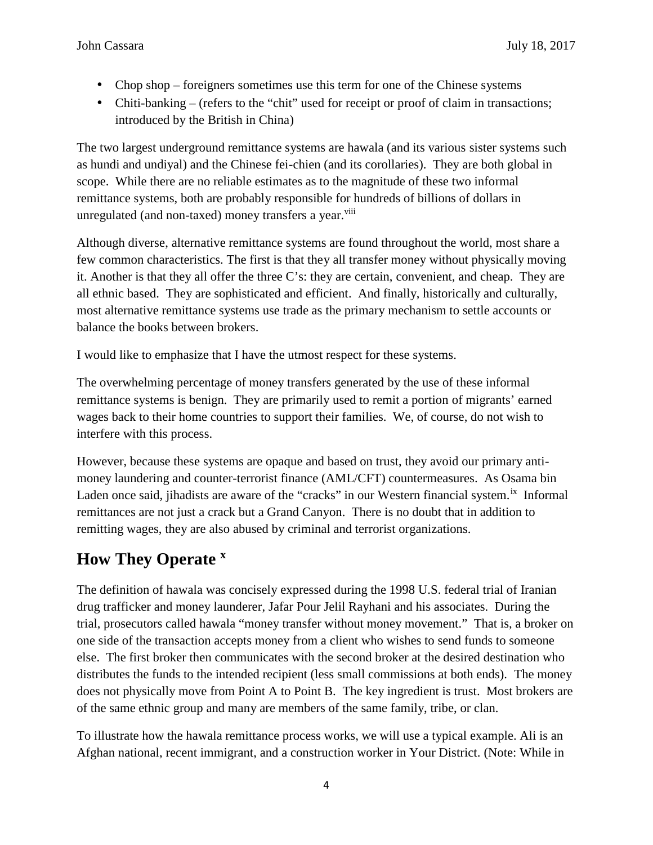- Chop shop foreigners sometimes use this term for one of the Chinese systems
- Chiti-banking (refers to the "chit" used for receipt or proof of claim in transactions; introduced by the British in China)

The two largest underground remittance systems are hawala (and its various sister systems such as hundi and undiyal) and the Chinese fei-chien (and its corollaries). They are both global in scope. While there are no reliable estimates as to the magnitude of these two informal remittance systems, both are probably responsible for hundreds of billions of dollars in unregulated (and non-taxed) money transfers a year.<sup>viii</sup>

Although diverse, alternative remittance systems are found throughout the world, most share a few common characteristics. The first is that they all transfer money without physically moving it. Another is that they all offer the three C's: they are certain, convenient, and cheap. They are all ethnic based. They are sophisticated and efficient. And finally, historically and culturally, most alternative remittance systems use trade as the primary mechanism to settle accounts or balance the books between brokers.

I would like to emphasize that I have the utmost respect for these systems.

The overwhelming percentage of money transfers generated by the use of these informal remittance systems is benign. They are primarily used to remit a portion of migrants' earned wages back to their home countries to support their families. We, of course, do not wish to interfere with this process.

However, because these systems are opaque and based on trust, they avoid our primary anti money laundering and counter-terrorist finance (AML/CFT) countermeasures. As Osama bin Laden once said, jihadists are aware of the "cracks" in our Western financial system.<sup>ix</sup> Informal remittances are not just a crack but a Grand Canyon. There is no doubt that in addition to remitting wages, they are also abused by criminal and terrorist organizations.

## **How They Operate <sup>x</sup>**

The definition of hawala was concisely expressed during the 1998 U.S. federal trial of Iranian drug trafficker and money launderer, Jafar Pour Jelil Rayhani and his associates. During the trial, prosecutors called hawala "money transfer without money movement." That is, a broker on one side of the transaction accepts money from a client who wishes to send funds to someone else. The first broker then communicates with the second broker at the desired destination who distributes the funds to the intended recipient (less small commissions at both ends). The money does not physically move from Point A to Point B. The key ingredient is trust. Most brokers are of the same ethnic group and many are members of the same family, tribe, or clan.

To illustrate how the hawala remittance process works, we will use a typical example. Ali is an Afghan national, recent immigrant, and a construction worker in Your District. (Note: While in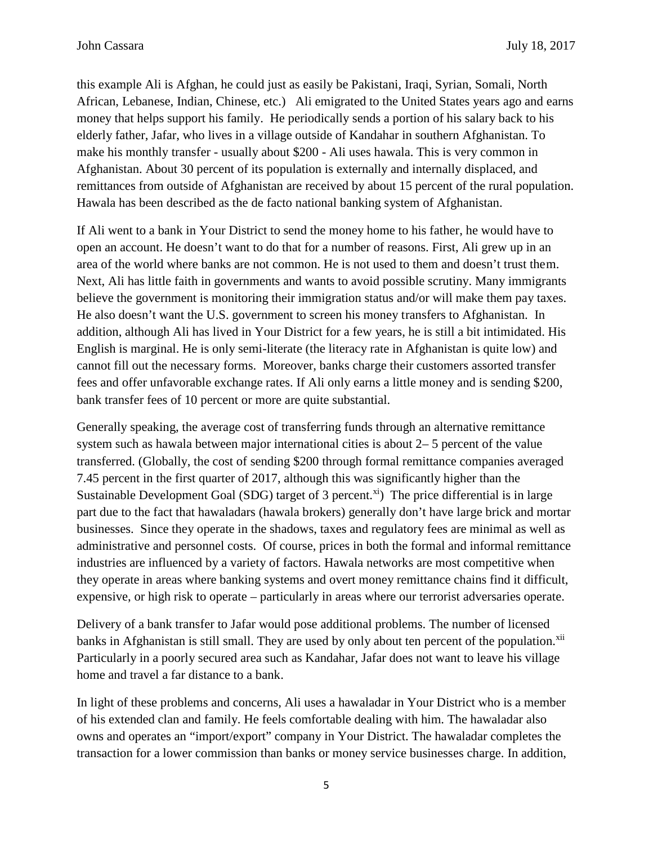this example Ali is Afghan, he could just as easily be Pakistani, Iraqi, Syrian, Somali, North African, Lebanese, Indian, Chinese, etc.) Ali emigrated to the United States years ago and earns money that helps support his family. He periodically sends a portion of his salary back to his elderly father, Jafar, who lives in a village outside of Kandahar in southern Afghanistan. To make his monthly transfer - usually about \$200 - Ali uses hawala. This is very common in Afghanistan. About 30 percent of its population is externally and internally displaced, and remittances from outside of Afghanistan are received by about 15 percent of the rural population. Hawala has been described as the de facto national banking system of Afghanistan.

If Ali went to a bank in Your District to send the money home to his father, he would have to open an account. He doesn't want to do that for a number of reasons. First, Ali grew up in an area of the world where banks are not common. He is not used to them and doesn't trust them. Next, Ali has little faith in governments and wants to avoid possible scrutiny. Many immigrants believe the government is monitoring their immigration status and/or will make them pay taxes. He also doesn't want the U.S. government to screen his money transfers to Afghanistan. In addition, although Ali has lived in Your District for a few years, he is still a bit intimidated. His English is marginal. He is only semi-literate (the literacy rate in Afghanistan is quite low) and cannot fill out the necessary forms. Moreover, banks charge their customers assorted transfer fees and offer unfavorable exchange rates. If Ali only earns a little money and is sending \$200, bank transfer fees of 10 percent or more are quite substantial.

Generally speaking, the average cost of transferring funds through an alternative remittance system such as hawala between major international cities is about 2– 5 percent of the value transferred. (Globally, the cost of sending \$200 through formal remittance companies averaged 7.45 percent in the first quarter of 2017, although this was significantly higher than the Sustainable Development Goal (SDG) target of 3 percent.<sup>xi</sup>) The price differential is in large part due to the fact that hawaladars (hawala brokers) generally don't have large brick and mortar businesses. Since they operate in the shadows, taxes and regulatory fees are minimal as well as administrative and personnel costs. Of course, prices in both the formal and informal remittance industries are influenced by a variety of factors. Hawala networks are most competitive when they operate in areas where banking systems and overt money remittance chains find it difficult, expensive, or high risk to operate – particularly in areas where our terrorist adversaries operate.

Delivery of a bank transfer to Jafar would pose additional problems. The number of licensed banks in Afghanistan is still small. They are used by only about ten percent of the population.<sup>xii</sup> Particularly in a poorly secured area such as Kandahar, Jafar does not want to leave his village home and travel a far distance to a bank.

In light of these problems and concerns, Ali uses a hawaladar in Your District who is a member of his extended clan and family. He feels comfortable dealing with him. The hawaladar also owns and operates an "import/export" company in Your District. The hawaladar completes the transaction for a lower commission than banks or money service businesses charge. In addition,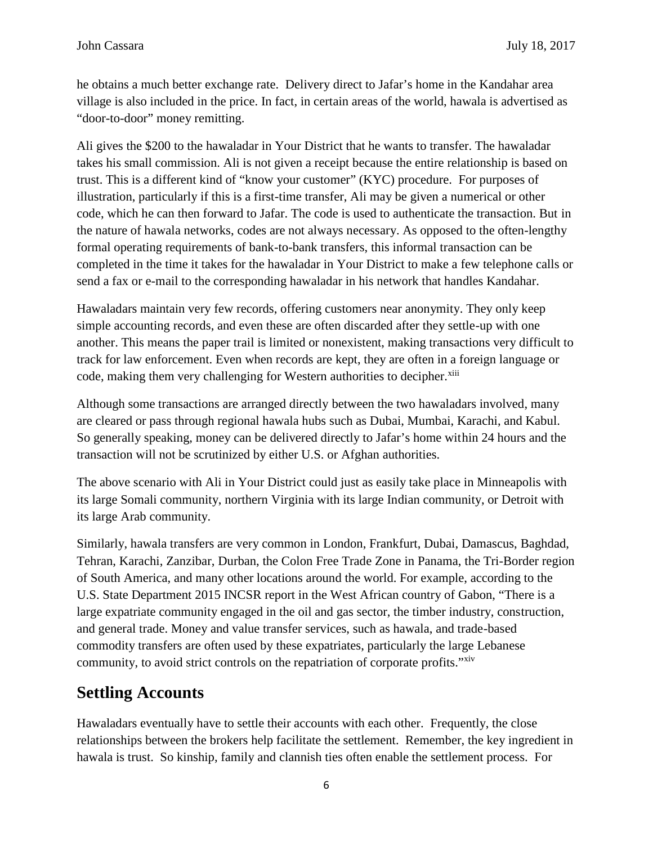he obtains a much better exchange rate. Delivery direct to Jafar's home in the Kandahar area village is also included in the price. In fact, in certain areas of the world, hawala is advertised as "door-to-door" money remitting.

Ali gives the \$200 to the hawaladar in Your District that he wants to transfer. The hawaladar takes his small commission. Ali is not given a receipt because the entire relationship is based on trust. This is a different kind of "know your customer" (KYC) procedure. For purposes of illustration, particularly if this is a first-time transfer, Ali may be given a numerical or other code, which he can then forward to Jafar. The code is used to authenticate the transaction. But in the nature of hawala networks, codes are not always necessary. As opposed to the often-lengthy formal operating requirements of bank-to-bank transfers, this informal transaction can be completed in the time it takes for the hawaladar in Your District to make a few telephone calls or send a fax or e-mail to the corresponding hawaladar in his network that handles Kandahar.

Hawaladars maintain very few records, offering customers near anonymity. They only keep simple accounting records, and even these are often discarded after they settle-up with one another. This means the paper trail is limited or nonexistent, making transactions very difficult to track for law enforcement. Even when records are kept, they are often in a foreign language or code, making them very challenging for Western authorities to decipher.<sup>xiii</sup>

Although some transactions are arranged directly between the two hawaladars involved, many are cleared or pass through regional hawala hubs such as Dubai, Mumbai, Karachi, and Kabul. So generally speaking, money can be delivered directly to Jafar's home within 24 hours and the transaction will not be scrutinized by either U.S. or Afghan authorities.

The above scenario with Ali in Your District could just as easily take place in Minneapolis with its large Somali community, northern Virginia with its large Indian community, or Detroit with its large Arab community.

Similarly, hawala transfers are very common in London, Frankfurt, Dubai, Damascus, Baghdad, Tehran, Karachi, Zanzibar, Durban, the Colon Free Trade Zone in Panama, the Tri-Border region of South America, and many other locations around the world. For example, according to the U.S. State Department 2015 INCSR report in the West African country of Gabon, "There is a large expatriate community engaged in the oil and gas sector, the timber industry, construction, and general trade. Money and value transfer services, such as hawala, and trade-based commodity transfers are often used by these expatriates, particularly the large Lebanese community, to avoid strict controls on the repatriation of corporate profits."<sup>xiv</sup>

## **Settling Accounts**

Hawaladars eventually have to settle their accounts with each other. Frequently, the close relationships between the brokers help facilitate the settlement. Remember, the key ingredient in hawala is trust. So kinship, family and clannish ties often enable the settlement process. For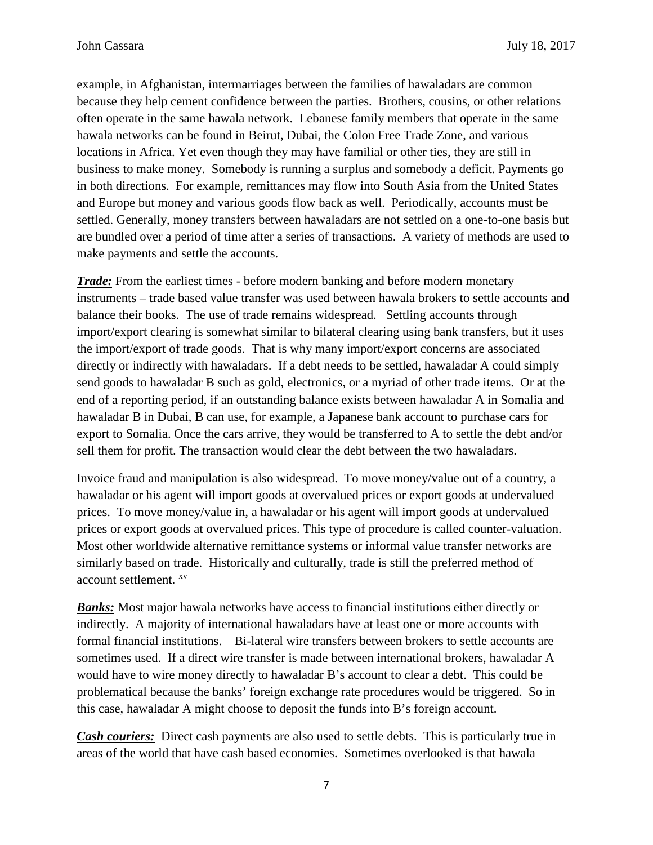example, in Afghanistan, intermarriages between the families of hawaladars are common because they help cement confidence between the parties. Brothers, cousins, or other relations often operate in the same hawala network. Lebanese family members that operate in the same hawala networks can be found in Beirut, Dubai, the Colon Free Trade Zone, and various locations in Africa. Yet even though they may have familial or other ties, they are still in business to make money. Somebody is running a surplus and somebody a deficit. Payments go in both directions. For example, remittances may flow into South Asia from the United States and Europe but money and various goods flow back as well. Periodically, accounts must be settled. Generally, money transfers between hawaladars are not settled on a one-to-one basis but are bundled over a period of time after a series of transactions. A variety of methods are used to make payments and settle the accounts.

*Trade:* From the earliest times - before modern banking and before modern monetary instruments – trade based value transfer was used between hawala brokers to settle accounts and balance their books. The use of trade remains widespread. Settling accounts through import/export clearing is somewhat similar to bilateral clearing using bank transfers, but it uses the import/export of trade goods. That is why many import/export concerns are associated directly or indirectly with hawaladars. If a debt needs to be settled, hawaladar A could simply send goods to hawaladar B such as gold, electronics, or a myriad of other trade items. Or at the end of a reporting period, if an outstanding balance exists between hawaladar A in Somalia and hawaladar B in Dubai, B can use, for example, a Japanese bank account to purchase cars for export to Somalia. Once the cars arrive, they would be transferred to A to settle the debt and/or sell them for profit. The transaction would clear the debt between the two hawaladars.

Invoice fraud and manipulation is also widespread. To move money/value out of a country, a hawaladar or his agent will import goods at overvalued prices or export goods at undervalued prices. To move money/value in, a hawaladar or his agent will import goods at undervalued prices or export goods at overvalued prices. This type of procedure is called counter-valuation. Most other worldwide alternative remittance systems or informal value transfer networks are similarly based on trade. Historically and culturally, trade is still the preferred method of account settlement. xv

*Banks:* Most major hawala networks have access to financial institutions either directly or indirectly. A majority of international hawaladars have at least one or more accounts with formal financial institutions. Bi-lateral wire transfers between brokers to settle accounts are sometimes used. If a direct wire transfer is made between international brokers, hawaladar A would have to wire money directly to hawaladar B's account to clear a debt. This could be problematical because the banks' foreign exchange rate procedures would be triggered. So in this case, hawaladar A might choose to deposit the funds into B's foreign account.

*Cash couriers:* Direct cash payments are also used to settle debts. This is particularly true in areas of the world that have cash based economies. Sometimes overlooked is that hawala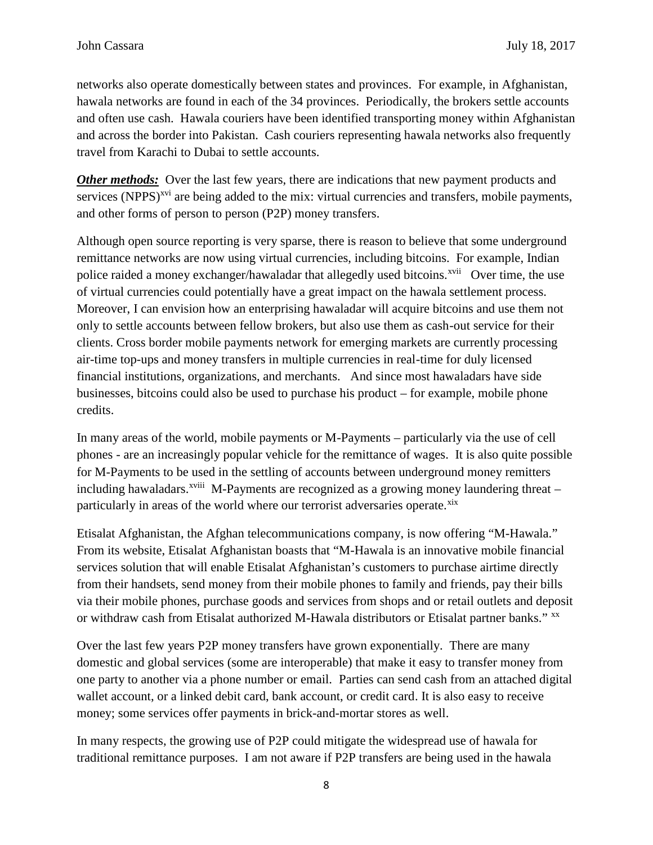networks also operate domestically between states and provinces. For example, in Afghanistan, hawala networks are found in each of the 34 provinces. Periodically, the brokers settle accounts and often use cash. Hawala couriers have been identified transporting money within Afghanistan and across the border into Pakistan. Cash couriers representing hawala networks also frequently travel from Karachi to Dubai to settle accounts.

*Other methods:* Over the last few years, there are indications that new payment products and services (NPPS)<sup>xvi</sup> are being added to the mix: virtual currencies and transfers, mobile payments, and other forms of person to person (P2P) money transfers.

Although open source reporting is very sparse, there is reason to believe that some underground remittance networks are now using virtual currencies, including bitcoins. For example, Indian police raided a money exchanger/hawaladar that allegedly used bitcoins.<sup>xvii</sup> Over time, the use of virtual currencies could potentially have a great impact on the hawala settlement process. Moreover, I can envision how an enterprising hawaladar will acquire bitcoins and use them not only to settle accounts between fellow brokers, but also use them as cash-out service for their clients. Cross border mobile payments network for emerging markets are currently processing air-time top-ups and money transfers in multiple currencies in real-time for duly licensed financial institutions, organizations, and merchants. And since most hawaladars have side businesses, bitcoins could also be used to purchase his product – for example, mobile phone credits.

In many areas of the world, mobile payments or M-Payments – particularly via the use of cell phones - are an increasingly popular vehicle for the remittance of wages. It is also quite possible for M-Payments to be used in the settling of accounts between underground money remitters including hawaladars.<sup>xviii</sup> M-Payments are recognized as a growing money laundering threat  $$ particularly in areas of the world where our terrorist adversaries operate.<sup>xix</sup>

Etisalat Afghanistan, the Afghan telecommunications company, is now offering "M-Hawala." From its website, Etisalat Afghanistan boasts that "M-Hawala is an innovative mobile financial services solution that will enable Etisalat Afghanistan's customers to purchase airtime directly from their handsets, send money from their mobile phones to family and friends, pay their bills via their mobile phones, purchase goods and services from shops and or retail outlets and deposit or withdraw cash from Etisalat authorized M-Hawala distributors or Etisalat partner banks." xx

Over the last few years P2P money transfers have grown exponentially. There are many domestic and global services (some are interoperable) that make it easy to transfer money from one party to another via a phone number or email. Parties can send cash from an attached digital wallet account, or a linked debit card, bank account, or credit card. It is also easy to receive money; some services offer payments in brick-and-mortar stores as well.

In many respects, the growing use of P2P could mitigate the widespread use of hawala for traditional remittance purposes. I am not aware if P2P transfers are being used in the hawala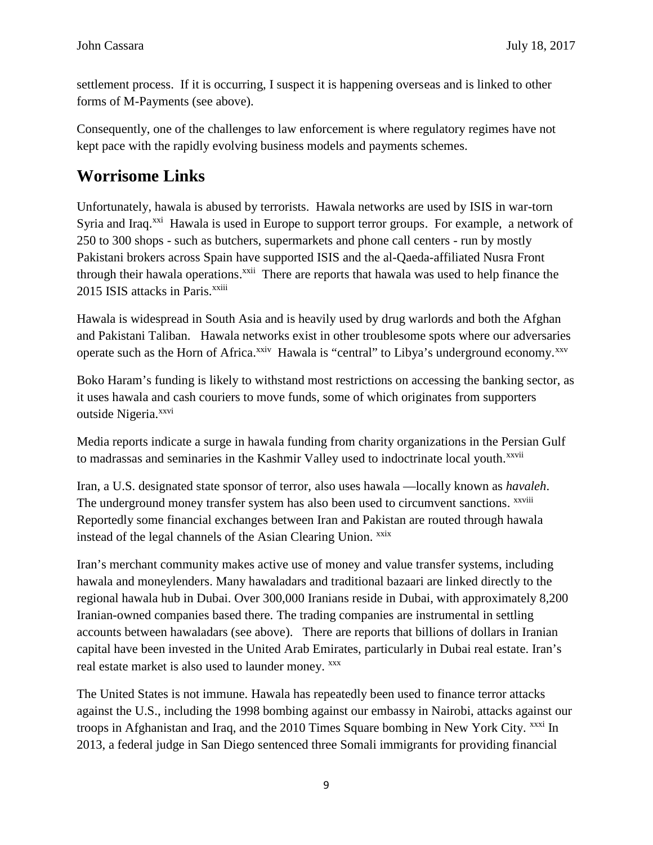settlement process. If it is occurring, I suspect it is happening overseas and is linked to other forms of M-Payments (see above).

Consequently, one of the challenges to law enforcement is where regulatory regimes have not kept pace with the rapidly evolving business models and payments schemes.

## **Worrisome Links**

Unfortunately, hawala is abused by terrorists. Hawala networks are used by ISIS in war-torn Syria and Iraq.<sup>xxi</sup> Hawala is used in Europe to support terror groups. For example, a network of 250 to 300 shops - such as butchers, supermarkets and phone call centers - run by mostly Pakistani brokers across Spain have supported ISIS and the al-Qaeda-affiliated Nusra Front through their hawala operations.<sup>xxii</sup> There are reports that hawala was used to help finance the 2015 ISIS attacks in Paris.<sup>xxiii</sup>

Hawala is widespread in South Asia and is heavily used by drug warlords and both the Afghan and Pakistani Taliban. Hawala networks exist in other troublesome spots where our adversaries operate such as the Horn of Africa.<sup>xxiv</sup> Hawala is "central" to Libya's underground economy.<sup>xxv</sup>

Boko Haram's funding is likely to withstand most restrictions on accessing the banking sector, as it uses hawala and cash couriers to move funds, some of which originates from supporters outside Nigeria.<sup>xxvi</sup>

Media reports indicate a surge in hawala funding from charity organizations in the Persian Gulf to madrassas and seminaries in the Kashmir Valley used to indoctrinate local youth.<sup>xxvii</sup>

Iran, a U.S. designated state sponsor of terror, also uses hawala —locally known as *havaleh*. The underground money transfer system has also been used to circumvent sanctions. <sup>xxviii</sup> Reportedly some financial exchanges between Iran and Pakistan are routed through hawala instead of the legal channels of the Asian Clearing Union. xxix

Iran's merchant community makes active use of money and value transfer systems, including hawala and moneylenders. Many hawaladars and traditional bazaari are linked directly to the regional hawala hub in Dubai. Over 300,000 Iranians reside in Dubai, with approximately 8,200 Iranian-owned companies based there. The trading companies are instrumental in settling accounts between hawaladars (see above). There are reports that billions of dollars in Iranian capital have been invested in the United Arab Emirates, particularly in Dubai real estate. Iran's real estate market is also used to launder money. xxx

The United States is not immune. Hawala has repeatedly been used to finance terror attacks against the U.S., including the 1998 bombing against our embassy in Nairobi, attacks against our troops in Afghanistan and Iraq, and the 2010 Times Square bombing in New York City. <sup>xxxi</sup> In 2013, a federal judge in San Diego sentenced three Somali immigrants for providing financial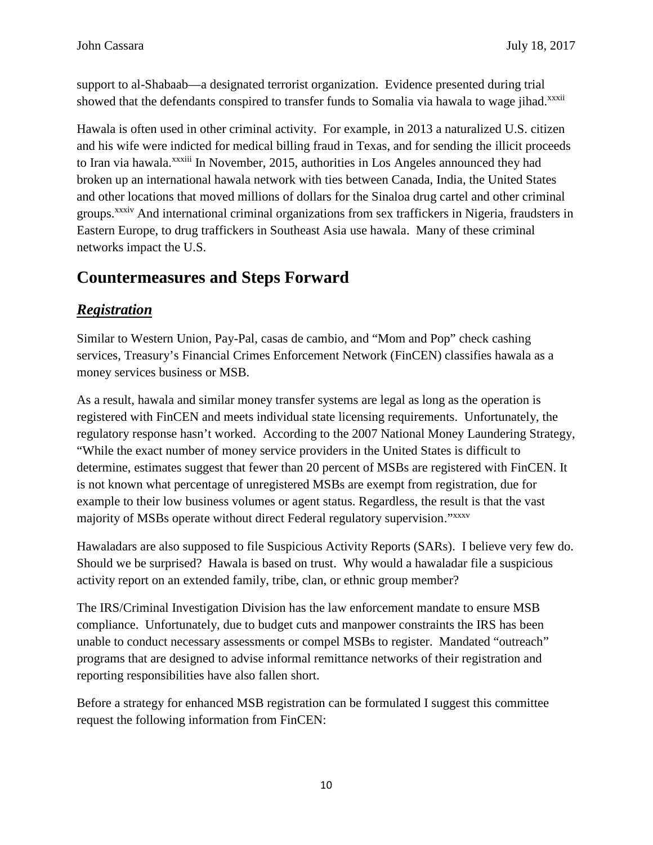support to al-Shabaab—a designated terrorist organization. Evidence presented during trial showed that the defendants conspired to transfer funds to Somalia via hawala to wage jihad.<sup>xxxii</sup>

Hawala is often used in other criminal activity. For example, in 2013 a naturalized U.S. citizen and his wife were indicted for medical billing fraud in Texas, and for sending the illicit proceeds to Iran via hawala.<sup>xxxiii</sup> In November, 2015, authorities in Los Angeles announced they had broken up an international hawala network with ties between Canada, India, the United States and other locations that moved millions of dollars for the Sinaloa drug cartel and other criminal groups.<sup>xxxiv</sup> And international criminal organizations from sex traffickers in Nigeria, fraudsters in Eastern Europe, to drug traffickers in Southeast Asia use hawala. Many of these criminal networks impact the U.S.

## **Countermeasures and Steps Forward**

### *Registration*

Similar to Western Union, Pay-Pal, casas de cambio, and "Mom and Pop" check cashing services, Treasury's Financial Crimes Enforcement Network (FinCEN) classifies hawala as a money services business or MSB.

As a result, hawala and similar money transfer systems are legal as long as the operation is registered with FinCEN and meets individual state licensing requirements. Unfortunately, the regulatory response hasn't worked. According to the 2007 National Money Laundering Strategy, "While the exact number of money service providers in the United States is difficult to determine, estimates suggest that fewer than 20 percent of MSBs are registered with FinCEN. It is not known what percentage of unregistered MSBs are exempt from registration, due for example to their low business volumes or agent status. Regardless, the result is that the vast majority of MSBs operate without direct Federal regulatory supervision."xxxv

Hawaladars are also supposed to file Suspicious Activity Reports (SARs). I believe very few do. Should we be surprised? Hawala is based on trust. Why would a hawaladar file a suspicious activity report on an extended family, tribe, clan, or ethnic group member?

The IRS/Criminal Investigation Division has the law enforcement mandate to ensure MSB compliance. Unfortunately, due to budget cuts and manpower constraints the IRS has been unable to conduct necessary assessments or compel MSBs to register. Mandated "outreach" programs that are designed to advise informal remittance networks of their registration and reporting responsibilities have also fallen short.

Before a strategy for enhanced MSB registration can be formulated I suggest this committee request the following information from FinCEN: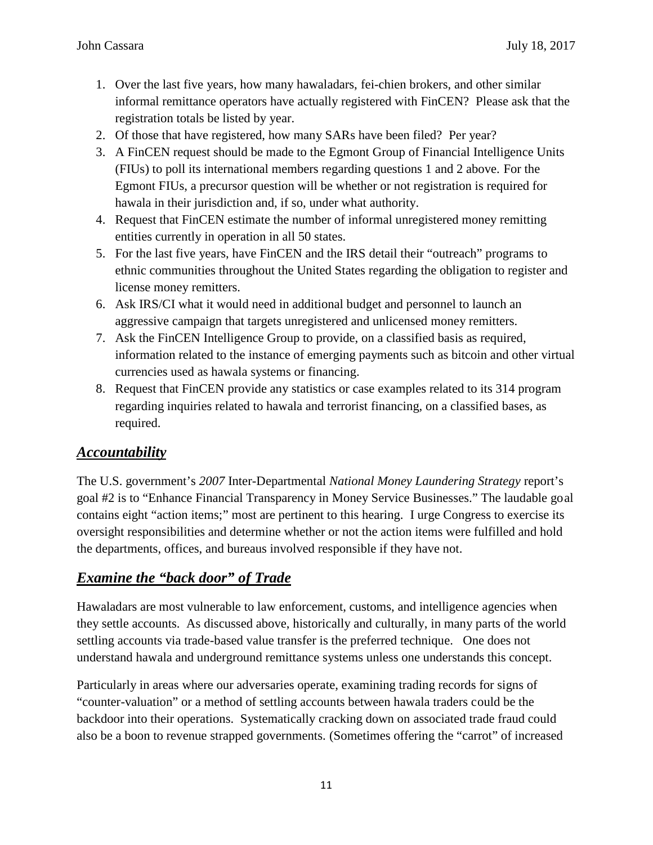- 1. Over the last five years, how many hawaladars, fei-chien brokers, and other similar informal remittance operators have actually registered with FinCEN? Please ask that the registration totals be listed by year.
- 2. Of those that have registered, how many SARs have been filed? Per year?
- 3. A FinCEN request should be made to the Egmont Group of Financial Intelligence Units (FIUs) to poll its international members regarding questions 1 and 2 above. For the Egmont FIUs, a precursor question will be whether or not registration is required for hawala in their jurisdiction and, if so, under what authority.
- 4. Request that FinCEN estimate the number of informal unregistered money remitting entities currently in operation in all 50 states.
- 5. For the last five years, have FinCEN and the IRS detail their "outreach" programs to ethnic communities throughout the United States regarding the obligation to register and license money remitters.
- 6. Ask IRS/CI what it would need in additional budget and personnel to launch an aggressive campaign that targets unregistered and unlicensed money remitters.
- 7. Ask the FinCEN Intelligence Group to provide, on a classified basis as required, information related to the instance of emerging payments such as bitcoin and other virtual currencies used as hawala systems or financing.
- 8. Request that FinCEN provide any statistics or case examples related to its 314 program regarding inquiries related to hawala and terrorist financing, on a classified bases, as required.

#### *Accountability*

The U.S. government's *2007* Inter-Departmental *National Money Laundering Strategy* report's goal #2 is to "Enhance Financial Transparency in Money Service Businesses." The laudable goal contains eight "action items;" most are pertinent to this hearing. I urge Congress to exercise its oversight responsibilities and determine whether or not the action items were fulfilled and hold the departments, offices, and bureaus involved responsible if they have not.

### *Examine the "back door" of Trade*

Hawaladars are most vulnerable to law enforcement, customs, and intelligence agencies when they settle accounts. As discussed above, historically and culturally, in many parts of the world settling accounts via trade-based value transfer is the preferred technique. One does not understand hawala and underground remittance systems unless one understands this concept.

Particularly in areas where our adversaries operate, examining trading records for signs of "counter-valuation" or a method of settling accounts between hawala traders could be the backdoor into their operations. Systematically cracking down on associated trade fraud could also be a boon to revenue strapped governments. (Sometimes offering the "carrot" of increased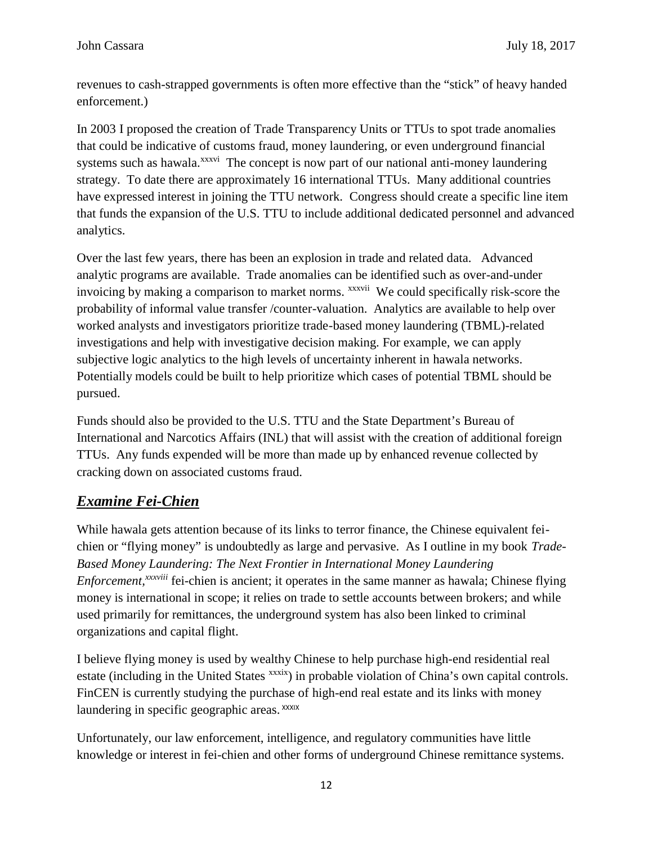revenues to cash-strapped governments is often more effective than the "stick" of heavy handed enforcement.)

In 2003 I proposed the creation of Trade Transparency Units or TTUs to spot trade anomalies that could be indicative of customs fraud, money laundering, or even underground financial systems such as hawala.<sup>xxxvi</sup> The concept is now part of our national anti-money laundering strategy. To date there are approximately 16 international TTUs. Many additional countries have expressed interest in joining the TTU network. Congress should create a specific line item that funds the expansion of the U.S. TTU to include additional dedicated personnel and advanced analytics.

Over the last few years, there has been an explosion in trade and related data. Advanced analytic programs are available. Trade anomalies can be identified such as over-and-under invoicing by making a comparison to market norms. *xxxvii* We could specifically risk-score the probability of informal value transfer /counter-valuation. Analytics are available to help over worked analysts and investigators prioritize trade-based money laundering (TBML)-related investigations and help with investigative decision making. For example, we can apply subjective logic analytics to the high levels of uncertainty inherent in hawala networks. Potentially models could be built to help prioritize which cases of potential TBML should be pursued.

Funds should also be provided to the U.S. TTU and the State Department's Bureau of International and Narcotics Affairs (INL) that will assist with the creation of additional foreign TTUs. Any funds expended will be more than made up by enhanced revenue collected by cracking down on associated customs fraud.

### *Examine Fei-Chien*

While hawala gets attention because of its links to terror finance, the Chinese equivalent fei chien or "flying money" is undoubtedly as large and pervasive. As I outline in my book *Trade- Based Money Laundering: The Next Frontier in International Money Laundering Enforcement,xxxviii* fei-chien is ancient; it operates in the same manner as hawala; Chinese flying money is international in scope; it relies on trade to settle accounts between brokers; and while used primarily for remittances, the underground system has also been linked to criminal organizations and capital flight.

I believe flying money is used by wealthy Chinese to help purchase high-end residential real estate (including in the United States xxxix) in probable violation of China's own capital controls. FinCEN is currently studying the purchase of high-end real estate and its links with money laundering in specific geographic areas. XXXIX

Unfortunately, our law enforcement, intelligence, and regulatory communities have little knowledge or interest in fei-chien and other forms of underground Chinese remittance systems.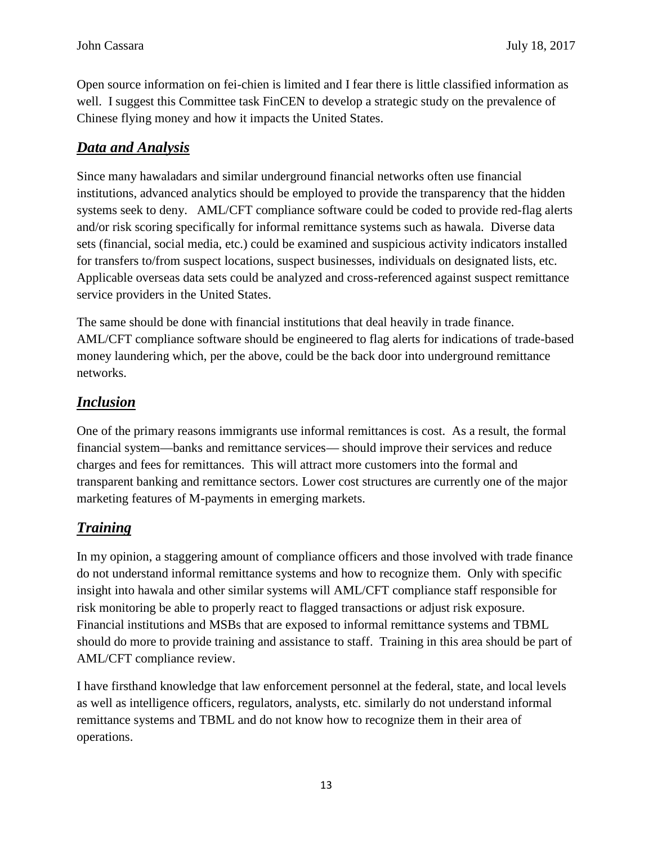Open source information on fei-chien is limited and I fear there is little classified information as well. I suggest this Committee task FinCEN to develop a strategic study on the prevalence of Chinese flying money and how it impacts the United States.

#### *Data and Analysis*

Since many hawaladars and similar underground financial networks often use financial institutions, advanced analytics should be employed to provide the transparency that the hidden systems seek to deny. AML/CFT compliance software could be coded to provide red-flag alerts and/or risk scoring specifically for informal remittance systems such as hawala. Diverse data sets (financial, social media, etc.) could be examined and suspicious activity indicators installed for transfers to/from suspect locations, suspect businesses, individuals on designated lists, etc. Applicable overseas data sets could be analyzed and cross-referenced against suspect remittance service providers in the United States.

The same should be done with financial institutions that deal heavily in trade finance. AML/CFT compliance software should be engineered to flag alerts for indications of trade-based money laundering which, per the above, could be the back door into underground remittance networks.

#### *Inclusion*

One of the primary reasons immigrants use informal remittances is cost. As a result, the formal financial system—banks and remittance services— should improve their services and reduce charges and fees for remittances. This will attract more customers into the formal and transparent banking and remittance sectors. Lower cost structures are currently one of the major marketing features of M-payments in emerging markets.

### *Training*

In my opinion, a staggering amount of compliance officers and those involved with trade finance do not understand informal remittance systems and how to recognize them. Only with specific insight into hawala and other similar systems will AML/CFT compliance staff responsible for risk monitoring be able to properly react to flagged transactions or adjust risk exposure. Financial institutions and MSBs that are exposed to informal remittance systems and TBML should do more to provide training and assistance to staff. Training in this area should be part of AML/CFT compliance review.

I have firsthand knowledge that law enforcement personnel at the federal, state, and local levels as well as intelligence officers, regulators, analysts, etc. similarly do not understand informal remittance systems and TBML and do not know how to recognize them in their area of operations.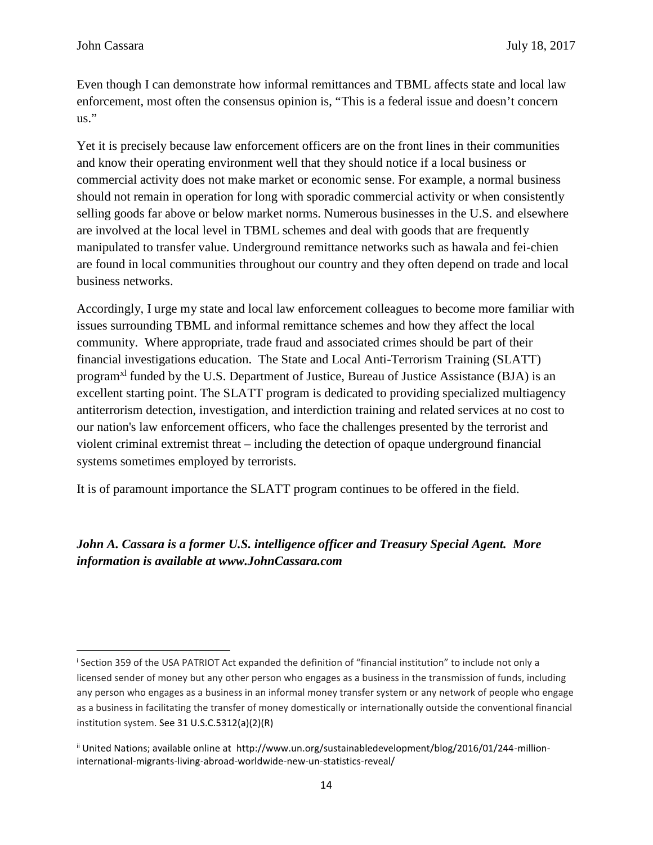Even though I can demonstrate how informal remittances and TBML affects state and local law enforcement, most often the consensus opinion is, "This is a federal issue and doesn't concern us."

Yet it is precisely because law enforcement officers are on the front lines in their communities and know their operating environment well that they should notice if a local business or commercial activity does not make market or economic sense. For example, a normal business should not remain in operation for long with sporadic commercial activity or when consistently selling goods far above or below market norms. Numerous businesses in the U.S. and elsewhere are involved at the local level in TBML schemes and deal with goods that are frequently manipulated to transfer value. Underground remittance networks such as hawala and fei-chien are found in local communities throughout our country and they often depend on trade and local business networks.

Accordingly, I urge my state and local law enforcement colleagues to become more familiar with issues surrounding TBML and informal remittance schemes and how they affect the local community. Where appropriate, trade fraud and associated crimes should be part of their financial investigations education. The State and Local Anti-Terrorism Training (SLATT) program<sup>xl</sup> funded by the U.S. Department of Justice, Bureau of Justice Assistance (BJA) is an excellent starting point. The SLATT program is dedicated to providing specialized multiagency antiterrorism detection, investigation, and interdiction training and related services at no cost to our nation's law enforcement officers, who face the challenges presented by the terrorist and violent criminal extremist threat – including the detection of opaque underground financial systems sometimes employed by terrorists.

It is of paramount importance the SLATT program continues to be offered in the field.

#### *John A. Cassara is a former U.S. intelligence officer and Treasury Special Agent. More information is available at www.JohnCassara.com*

<sup>i</sup> Section 359 of the USA PATRIOT Act expanded the definition of "financial institution" to include not only a licensed sender of money but any other person who engages as a business in the transmission of funds, including any person who engages as a business in an informal money transfer system or any network of people who engage as a business in facilitating the transfer of money domestically or internationally outside the conventional financial institution system. See 31 U.S.C.5312(a)(2)(R)

ii United Nations; available online at http://www.un.org/sustainabledevelopment/blog/2016/01/244-millioninternational-migrants-living-abroad-worldwide-new-un-statistics-reveal/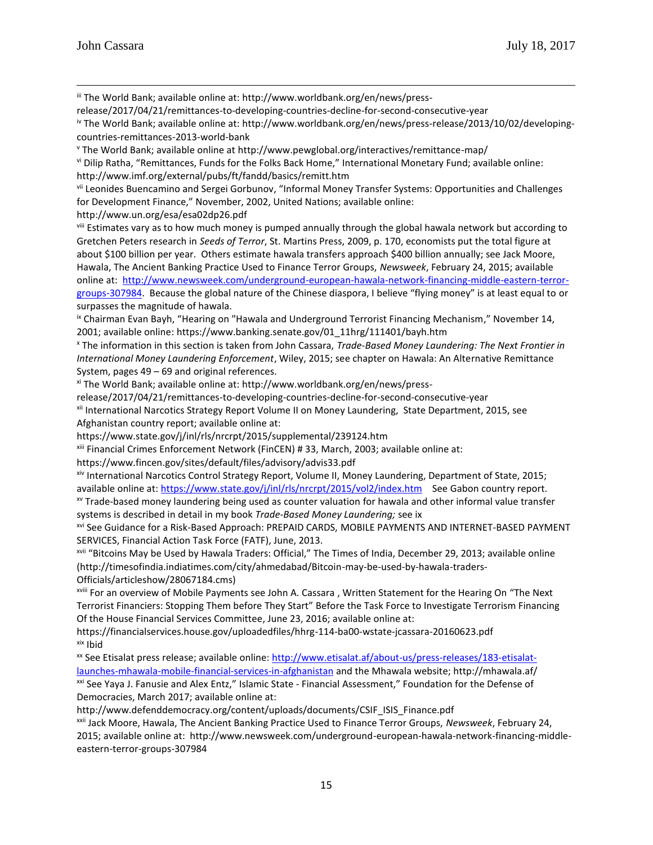iii The World Bank; available online at: http://www.worldbank.org/en/news/press-

release/2017/04/21/remittances-to-developing-countries-decline-for-second-consecutive-year

iv The World Bank; available online at: http://www.worldbank.org/en/news/press-release/2013/10/02/developing countries-remittances-2013-world-bank

<sup>v</sup> The World Bank; available online at http://www.pewglobal.org/interactives/remittance-map/

vi Dilip Ratha, "Remittances, Funds for the Folks Back Home," International Monetary Fund; available online: http://www.imf.org/external/pubs/ft/fandd/basics/remitt.htm

vii Leonides Buencamino and Sergei Gorbunov, "Informal Money Transfer Systems: Opportunities and Challenges for Development Finance," November, 2002, United Nations; available online:

http://www.un.org/esa/esa02dp26.pdf

<sup>viii</sup> Estimates vary as to how much money is pumped annually through the global hawala network but according to Gretchen Peters research in *Seeds of Terror*, St. Martins Press, 2009, p. 170, economists put the total figure at about \$100 billion per year. Others estimate hawala transfers approach \$400 billion annually; see Jack Moore, Hawala, The Ancient Banking Practice Used to Finance Terror Groups, *Newsweek*, February 24, 2015; available online at: http://www.newsweek.com/underground-european-hawala-network-financing-middle-eastern-terror groups-307984. Because the global nature of the Chinese diaspora, I believe "flying money" is at least equal to or surpasses the magnitude of hawala.

<sup>ix</sup> Chairman Evan Bayh, "Hearing on "Hawala and Underground Terrorist Financing Mechanism," November 14, 2001; available online: https://www.banking.senate.gov/01\_11hrg/111401/bayh.htm

<sup>x</sup> The information in this section is taken from John Cassara, *Trade-Based Money Laundering: The Next Frontier in International Money Laundering Enforcement*, Wiley, 2015; see chapter on Hawala: An Alternative Remittance System, pages 49 – 69 and original references.

xi The World Bank; available online at: http://www.worldbank.org/en/news/press-

release/2017/04/21/remittances-to-developing-countries-decline-for-second-consecutive-year

xii International Narcotics Strategy Report Volume II on Money Laundering, State Department, 2015, see Afghanistan country report; available online at:

https://www.state.gov/j/inl/rls/nrcrpt/2015/supplemental/239124.htm

xiii Financial Crimes Enforcement Network (FinCEN) # 33, March, 2003; available online at:

https://www.fincen.gov/sites/default/files/advisory/advis33.pdf

xiv International Narcotics Control Strategy Report, Volume II, Money Laundering, Department of State, 2015; available online at: https://www.state.gov/j/inl/rls/nrcrpt/2015/vol2/index.htm See Gabon country report.

xv Trade-based money laundering being used as counter valuation for hawala and other informal value transfer systems is described in detail in my book *Trade-Based Money Laundering;* see ix

xvi See Guidance for a Risk-Based Approach: PREPAID CARDS, MOBILE PAYMENTS AND INTERNET-BASED PAYMENT SERVICES, Financial Action Task Force (FATF), June, 2013.

xvii "Bitcoins May be Used by Hawala Traders: Official," The Times of India, December 29, 2013; available online (http://timesofindia.indiatimes.com/city/ahmedabad/Bitcoin-may-be-used-by-hawala-traders- Officials/articleshow/28067184.cms)

xviii For an overview of Mobile Payments see John A. Cassara , Written Statement for the Hearing On "The Next Terrorist Financiers: Stopping Them before They Start" Before the Task Force to Investigate Terrorism Financing Of the House Financial Services Committee, June 23, 2016; available online at:

https://financialservices.house.gov/uploadedfiles/hhrg-114-ba00-wstate-jcassara-20160623.pdf xix Ibid

<sup>xx</sup> See Etisalat press release; available online: http://www.etisalat.af/about-us/press-releases/183-etisalatlaunches-mhawala-mobile-financial-services-in-afghanistan and the Mhawala website; http://mhawala.af/ xxi See Yaya J. Fanusie and Alex Entz," Islamic State - Financial Assessment," Foundation for the Defense of Democracies, March 2017; available online at:

http://www.defenddemocracy.org/content/uploads/documents/CSIF\_ISIS\_Finance.pdf

xxii Jack Moore, Hawala, The Ancient Banking Practice Used to Finance Terror Groups, *Newsweek*, February 24, 2015; available online at: http://www.newsweek.com/underground-european-hawala-network-financing-middle eastern-terror-groups-307984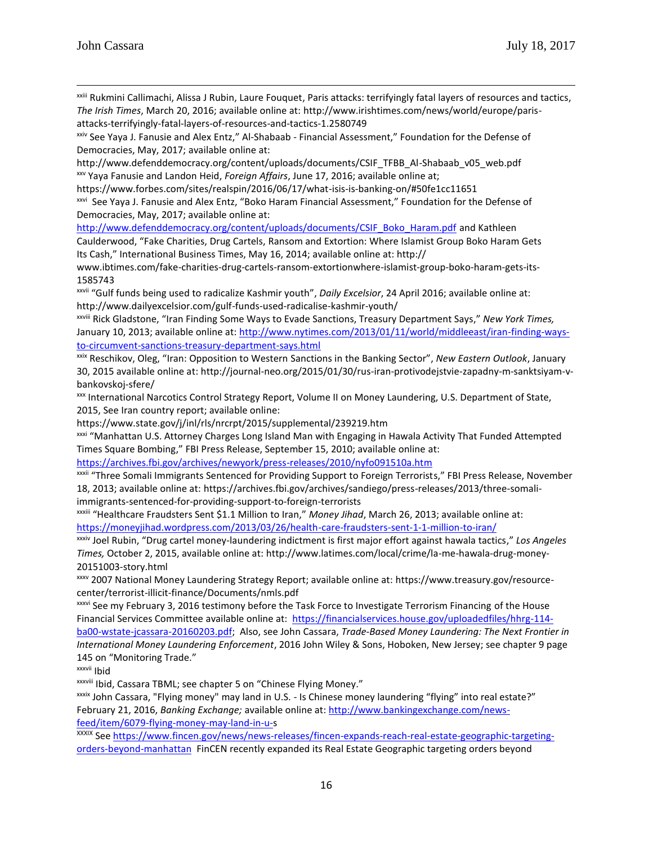xxiii Rukmini Callimachi, Alissa J Rubin, Laure Fouquet, Paris attacks: terrifyingly fatal layers of resources and tactics, *The Irish Times*, March 20, 2016; available online at: http://www.irishtimes.com/news/world/europe/paris attacks-terrifyingly-fatal-layers-of-resources-and-tactics-1.2580749

xxiv See Yaya J. Fanusie and Alex Entz," Al-Shabaab - Financial Assessment," Foundation for the Defense of Democracies, May, 2017; available online at:

http://www.defenddemocracy.org/content/uploads/documents/CSIF\_TFBB\_Al-Shabaab\_v05\_web.pdf xxv Yaya Fanusie and Landon Heid, *Foreign Affairs*, June 17, 2016; available online at;

https://www.forbes.com/sites/realspin/2016/06/17/what-isis-is-banking-on/#50fe1cc11651

xxvi See Yaya J. Fanusie and Alex Entz, "Boko Haram Financial Assessment," Foundation for the Defense of Democracies, May, 2017; available online at:

http://www.defenddemocracy.org/content/uploads/documents/CSIF\_Boko\_Haram.pdf and Kathleen Caulderwood, "Fake Charities, Drug Cartels, Ransom and Extortion: Where Islamist Group Boko Haram Gets Its Cash," International Business Times, May 16, 2014; available online at: http://

www.ibtimes.com/fake-charities-drug-cartels-ransom-extortionwhere-islamist-group-boko-haram-gets-its- 1585743

xxvii "Gulf funds being used to radicalize Kashmir youth", *Daily Excelsior*, 24 April 2016; available online at: http://www.dailyexcelsior.com/gulf-funds-used-radicalise-kashmir-youth/

xxviii Rick Gladstone, "Iran Finding Some Ways to Evade Sanctions, Treasury Department Says," *New York Times,* January 10, 2013; available online at: http://www.nytimes.com/2013/01/11/world/middleeast/iran-finding-ways to-circumvent-sanctions-treasury-department-says.html

xxix Reschikov, Oleg, "Iran: Opposition to Western Sanctions in the Banking Sector", *New Eastern Outlook*, January 30, 2015 available online at: http://journal-neo.org/2015/01/30/rus-iran-protivodejstvie-zapadny-m-sanktsiyam-v bankovskoj-sfere/

xxx International Narcotics Control Strategy Report, Volume II on Money Laundering, U.S. Department of State, 2015, See Iran country report; available online:

https://www.state.gov/j/inl/rls/nrcrpt/2015/supplemental/239219.htm

xxxi "Manhattan U.S. Attorney Charges Long Island Man with Engaging in Hawala Activity That Funded Attempted Times Square Bombing," FBI Press Release, September 15, 2010; available online at:

https://archives.fbi.gov/archives/newyork/press-releases/2010/nyfo091510a.htm

xxxii "Three Somali Immigrants Sentenced for Providing Support to Foreign Terrorists," FBI Press Release, November 18, 2013; available online at: https://archives.fbi.gov/archives/sandiego/press-releases/2013/three-somaliimmigrants-sentenced-for-providing-support-to-foreign-terrorists

xxxiii "Healthcare Fraudsters Sent \$1.1 Million to Iran," *Money Jihad*, March 26, 2013; available online at: https://moneyjihad.wordpress.com/2013/03/26/health-care-fraudsters-sent-1-1-million-to-iran/

xxxiv Joel Rubin, "Drug cartel money-laundering indictment is first major effort against hawala tactics," *Los Angeles Times,* October 2, 2015, available online at: http://www.latimes.com/local/crime/la-me-hawala-drug-money- 20151003-story.html

xxxv 2007 National Money Laundering Strategy Report; available online at: https://www.treasury.gov/resource center/terrorist-illicit-finance/Documents/nmls.pdf

<sup>xxxvi</sup> See my February 3, 2016 testimony before the Task Force to Investigate Terrorism Financing of the House Financial Services Committee available online at: https://financialservices.house.gov/uploadedfiles/hhrg-114 ba00-wstate-jcassara-20160203.pdf; Also, see John Cassara, *Trade-Based Money Laundering: The Next Frontier in International Money Laundering Enforcement*, 2016 John Wiley & Sons, Hoboken, New Jersey; see chapter 9 page 145 on "Monitoring Trade."

xxxvii Ibid

xxxviii Ibid, Cassara TBML; see chapter 5 on "Chinese Flying Money."

xxxix John Cassara, "Flying money" may land in U.S. - Is Chinese money laundering "flying" into real estate?" February 21, 2016, *Banking Exchange;* available online at: http://www.bankingexchange.com/newsfeed/item/6079-flying-money-may-land-in-u-s

XXXIX See https://www.fincen.gov/news/news-releases/fincen-expands-reach-real-estate-geographic-targeting orders-beyond-manhattan FinCEN recently expanded its Real Estate Geographic targeting orders beyond